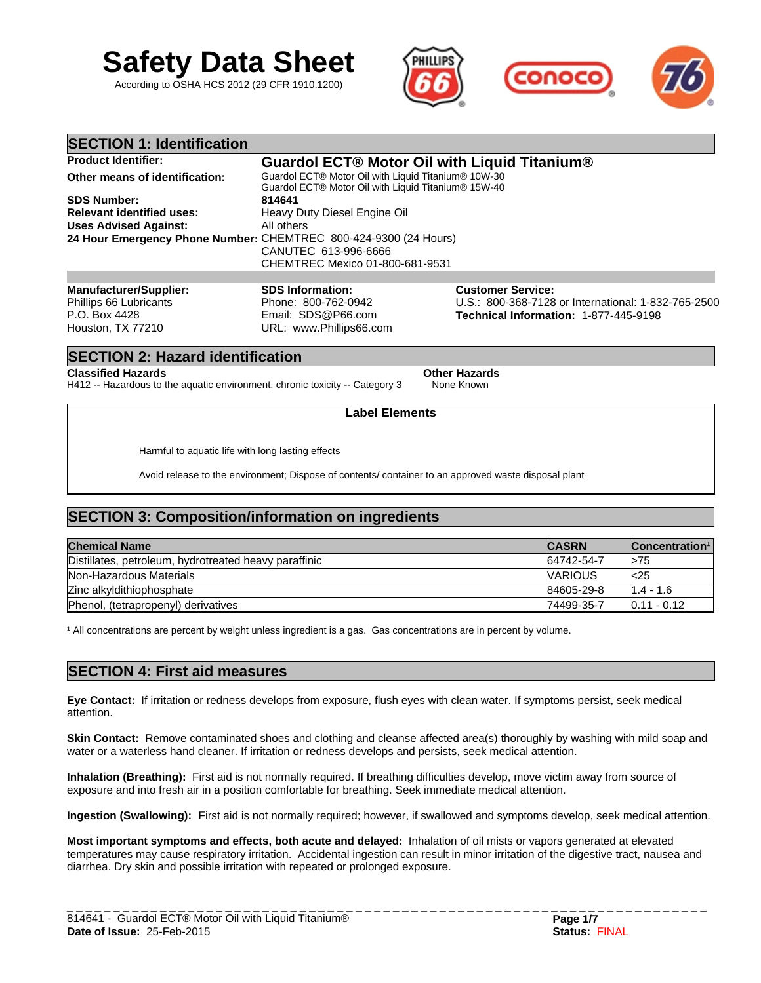

According to OSHA HCS 2012 (29 CFR 1910.1200)



| <b>SECTION 1: Identification</b>                                         |                                                                                                            |                                                                                                                          |
|--------------------------------------------------------------------------|------------------------------------------------------------------------------------------------------------|--------------------------------------------------------------------------------------------------------------------------|
| <b>Product Identifier:</b>                                               |                                                                                                            | Guardol ECT® Motor Oil with Liquid Titanium®                                                                             |
| Other means of identification:                                           | Guardol ECT® Motor Oil with Liquid Titanium® 10W-30<br>Guardol ECT® Motor Oil with Liquid Titanium® 15W-40 |                                                                                                                          |
| <b>SDS Number:</b>                                                       | 814641                                                                                                     |                                                                                                                          |
| <b>Relevant identified uses:</b>                                         | Heavy Duty Diesel Engine Oil                                                                               |                                                                                                                          |
| <b>Uses Advised Against:</b>                                             | All others                                                                                                 |                                                                                                                          |
| 24 Hour Emergency Phone Number: CHEMTREC 800-424-9300 (24 Hours)         |                                                                                                            |                                                                                                                          |
|                                                                          | CANUTEC 613-996-6666                                                                                       |                                                                                                                          |
|                                                                          | CHEMTREC Mexico 01-800-681-9531                                                                            |                                                                                                                          |
|                                                                          |                                                                                                            |                                                                                                                          |
| <b>Manufacturer/Supplier:</b><br>Phillips 66 Lubricants<br>P.O. Box 4428 | <b>SDS Information:</b><br>Phone: 800-762-0942<br>Email: SDS@P66.com                                       | <b>Customer Service:</b><br>U.S.: 800-368-7128 or International: 1-832-765-2500<br>Technical Information: 1-877-445-9198 |

# **SECTION 2: Hazard identification**

Houston, TX 77210

**Classified Hazards Other Hazards Classified Hazards Property Classified Hazards H412 - Hazardous** to the aquatic environment, chronic toxicity -- Category 3 None Known H412 -- Hazardous to the aquatic environment, chronic toxicity -- Category 3

URL: www.Phillips66.com

Harmful to aquatic life with long lasting effects

Avoid release to the environment; Dispose of contents/ container to an approved waste disposal plant

# **SECTION 3: Composition/information on ingredients**

| <b>Chemical Name</b>                                  | <b>CASRN</b>   | Concentration <sup>1</sup> |
|-------------------------------------------------------|----------------|----------------------------|
| Distillates, petroleum, hydrotreated heavy paraffinic | 64742-54-7     | l>75                       |
| Non-Hazardous Materials                               | <b>VARIOUS</b> | l<25                       |
| Zinc alkyldithiophosphate                             | 84605-29-8     | $11.4 - 1.6$               |
| Phenol, (tetrapropenyl) derivatives                   | 74499-35-7     | $10.11 - 0.12$             |

**Label Elements**

<sup>1</sup> All concentrations are percent by weight unless ingredient is a gas. Gas concentrations are in percent by volume.

# **SECTION 4: First aid measures**

**Eye Contact:** If irritation or redness develops from exposure, flush eyes with clean water. If symptoms persist, seek medical attention.

**Skin Contact:** Remove contaminated shoes and clothing and cleanse affected area(s) thoroughly by washing with mild soap and water or a waterless hand cleaner. If irritation or redness develops and persists, seek medical attention.

**Inhalation (Breathing):** First aid is not normally required. If breathing difficulties develop, move victim away from source of exposure and into fresh air in a position comfortable for breathing. Seek immediate medical attention.

**Ingestion (Swallowing):** First aid is not normally required; however, if swallowed and symptoms develop, seek medical attention.

**Most important symptoms and effects, both acute and delayed:** Inhalation of oil mists or vapors generated at elevated temperatures may cause respiratory irritation. Accidental ingestion can result in minor irritation of the digestive tract, nausea and diarrhea. Dry skin and possible irritation with repeated or prolonged exposure.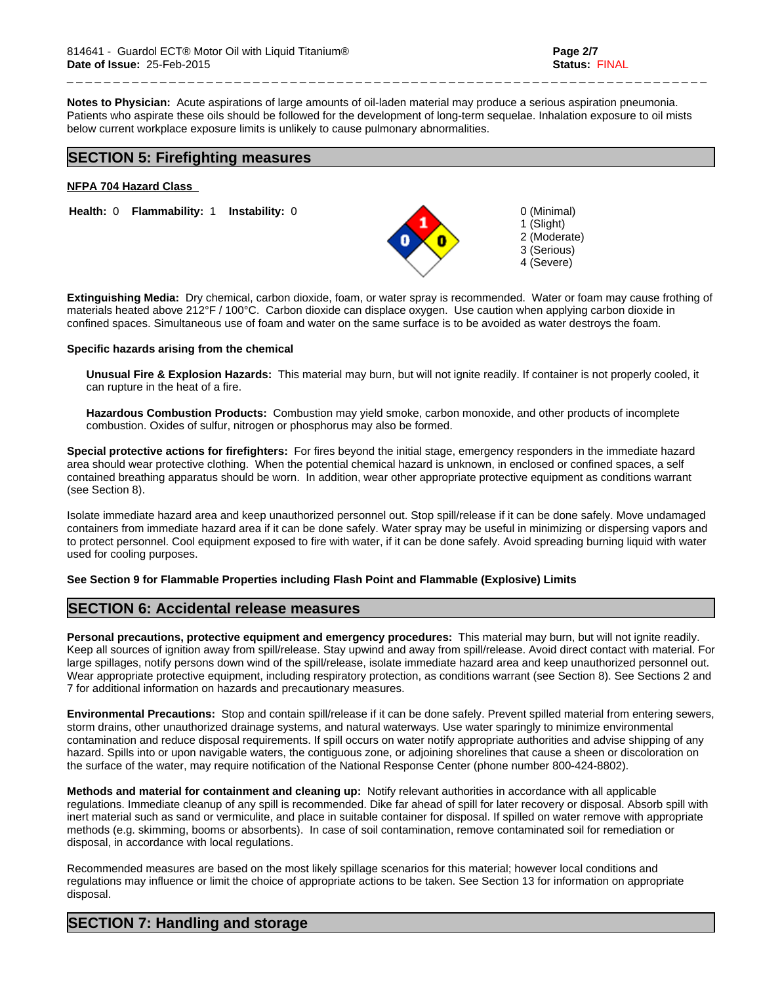**Notes to Physician:** Acute aspirations of large amounts of oil-laden material may produce a serious aspiration pneumonia. Patients who aspirate these oils should be followed for the development of long-term sequelae. Inhalation exposure to oil mists below current workplace exposure limits is unlikely to cause pulmonary abnormalities.

# **SECTION 5: Firefighting measures**

### **NFPA 704 Hazard Class**

**Health: 0 Flammability: 1 Instability: 0 0 0 (Minimal)** 

**Extinguishing Media:** Dry chemical, carbon dioxide, foam, or water spray is recommended. Water or foam may cause frothing of materials heated above 212°F / 100°C. Carbon dioxide can displace oxygen. Use caution when applying carbon dioxide in confined spaces. Simultaneous use of foam and water on the same surface is to be avoided as water destroys the foam.

### **Specific hazards arising from the chemical**

**Unusual Fire & Explosion Hazards:** This material may burn, but will not ignite readily. If container is not properly cooled, it can rupture in the heat of a fire.

**Hazardous Combustion Products:** Combustion may yield smoke, carbon monoxide, and other products of incomplete combustion. Oxides of sulfur, nitrogen or phosphorus may also be formed.

**Special protective actions for firefighters:** For fires beyond the initial stage, emergency responders in the immediate hazard area should wear protective clothing. When the potential chemical hazard is unknown, in enclosed or confined spaces, a self contained breathing apparatus should be worn. In addition, wear other appropriate protective equipment as conditions warrant (see Section 8).

Isolate immediate hazard area and keep unauthorized personnel out. Stop spill/release if it can be done safely. Move undamaged containers from immediate hazard area if it can be done safely. Water spray may be useful in minimizing or dispersing vapors and to protect personnel. Cool equipment exposed to fire with water, if it can be done safely. Avoid spreading burning liquid with water used for cooling purposes.

### **See Section 9 for Flammable Properties including Flash Point and Flammable (Explosive) Limits**

### **SECTION 6: Accidental release measures**

**Personal precautions, protective equipment and emergency procedures:** This material may burn, but will not ignite readily. Keep all sources of ignition away from spill/release. Stay upwind and away from spill/release. Avoid direct contact with material. For large spillages, notify persons down wind of the spill/release, isolate immediate hazard area and keep unauthorized personnel out. Wear appropriate protective equipment, including respiratory protection, as conditions warrant (see Section 8). See Sections 2 and 7 for additional information on hazards and precautionary measures.

**Environmental Precautions:** Stop and contain spill/release if it can be done safely. Prevent spilled material from entering sewers, storm drains, other unauthorized drainage systems, and natural waterways. Use water sparingly to minimize environmental contamination and reduce disposal requirements. If spill occurs on water notify appropriate authorities and advise shipping of any hazard. Spills into or upon navigable waters, the contiguous zone, or adjoining shorelines that cause a sheen or discoloration on the surface of the water, may require notification of the National Response Center (phone number 800-424-8802).

**Methods and material for containment and cleaning up:** Notify relevant authorities in accordance with all applicable regulations. Immediate cleanup of any spill is recommended. Dike far ahead of spill for later recovery or disposal. Absorb spill with inert material such as sand or vermiculite, and place in suitable container for disposal. If spilled on water remove with appropriate methods (e.g. skimming, booms or absorbents). In case of soil contamination, remove contaminated soil for remediation or disposal, in accordance with local regulations.

Recommended measures are based on the most likely spillage scenarios for this material; however local conditions and regulations may influence or limit the choice of appropriate actions to be taken. See Section 13 for information on appropriate disposal.

# **SECTION 7: Handling and storage**



\_ \_ \_ \_ \_ \_ \_ \_ \_ \_ \_ \_ \_ \_ \_ \_ \_ \_ \_ \_ \_ \_ \_ \_ \_ \_ \_ \_ \_ \_ \_ \_ \_ \_ \_ \_ \_ \_ \_ \_ \_ \_ \_ \_ \_ \_ \_ \_ \_ \_ \_ \_ \_ \_ \_ \_ \_ \_ \_ \_ \_ \_ \_ \_ \_ \_ \_ \_ \_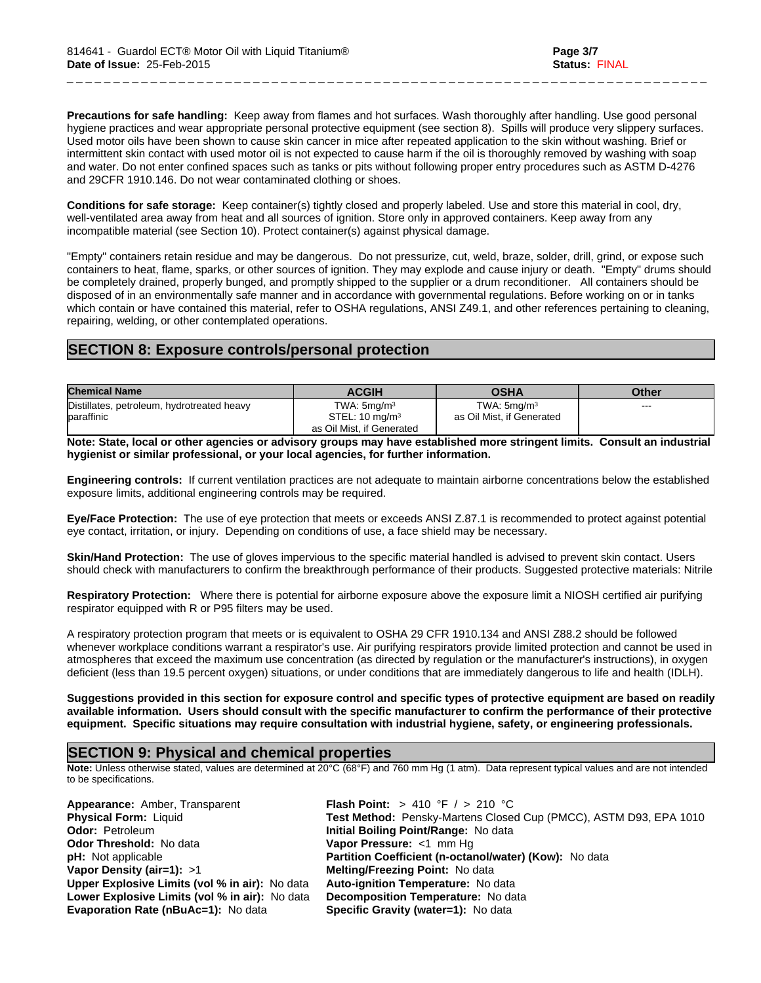**Precautions for safe handling:** Keep away from flames and hot surfaces. Wash thoroughly after handling. Use good personal hygiene practices and wear appropriate personal protective equipment (see section 8). Spills will produce very slippery surfaces. Used motor oils have been shown to cause skin cancer in mice after repeated application to the skin without washing. Brief or intermittent skin contact with used motor oil is not expected to cause harm if the oil is thoroughly removed by washing with soap and water. Do not enter confined spaces such as tanks or pits without following proper entry procedures such as ASTM D-4276 and 29CFR 1910.146. Do not wear contaminated clothing or shoes.

\_ \_ \_ \_ \_ \_ \_ \_ \_ \_ \_ \_ \_ \_ \_ \_ \_ \_ \_ \_ \_ \_ \_ \_ \_ \_ \_ \_ \_ \_ \_ \_ \_ \_ \_ \_ \_ \_ \_ \_ \_ \_ \_ \_ \_ \_ \_ \_ \_ \_ \_ \_ \_ \_ \_ \_ \_ \_ \_ \_ \_ \_ \_ \_ \_ \_ \_ \_ \_

**Conditions for safe storage:** Keep container(s) tightly closed and properly labeled. Use and store this material in cool, dry, well-ventilated area away from heat and all sources of ignition. Store only in approved containers. Keep away from any incompatible material (see Section 10). Protect container(s) against physical damage.

"Empty" containers retain residue and may be dangerous. Do not pressurize, cut, weld, braze, solder, drill, grind, or expose such containers to heat, flame, sparks, or other sources of ignition. They may explode and cause injury or death. "Empty" drums should be completely drained, properly bunged, and promptly shipped to the supplier or a drum reconditioner. All containers should be disposed of in an environmentally safe manner and in accordance with governmental regulations. Before working on or in tanks which contain or have contained this material, refer to OSHA regulations, ANSI Z49.1, and other references pertaining to cleaning, repairing, welding, or other contemplated operations.

# **SECTION 8: Exposure controls/personal protection**

| <b>Chemical Name</b>                       | <b>ACGIH</b>              | <b>OSHA</b>               | Other |
|--------------------------------------------|---------------------------|---------------------------|-------|
| Distillates, petroleum, hydrotreated heavy | TWA: $5mq/m3$             | TWA: $5$ ma/m $3$         | ---   |
| baraffinic                                 | STEL: $10 \text{ mg/m}^3$ | as Oil Mist. if Generated |       |
|                                            | as Oil Mist, if Generated |                           |       |

**Note: State, local or other agencies or advisory groups may have established more stringent limits. Consult an industrial hygienist or similar professional, or your local agencies, for further information.**

**Engineering controls:** If current ventilation practices are not adequate to maintain airborne concentrations below the established exposure limits, additional engineering controls may be required.

**Eye/Face Protection:** The use of eye protection that meets or exceeds ANSI Z.87.1 is recommended to protect against potential eye contact, irritation, or injury. Depending on conditions of use, a face shield may be necessary.

**Skin/Hand Protection:** The use of gloves impervious to the specific material handled is advised to prevent skin contact. Users should check with manufacturers to confirm the breakthrough performance of their products. Suggested protective materials: Nitrile

**Respiratory Protection:** Where there is potential for airborne exposure above the exposure limit a NIOSH certified air purifying respirator equipped with R or P95 filters may be used.

A respiratory protection program that meets or is equivalent to OSHA 29 CFR 1910.134 and ANSI Z88.2 should be followed whenever workplace conditions warrant a respirator's use. Air purifying respirators provide limited protection and cannot be used in atmospheres that exceed the maximum use concentration (as directed by regulation or the manufacturer's instructions), in oxygen deficient (less than 19.5 percent oxygen) situations, or under conditions that are immediately dangerous to life and health (IDLH).

**Suggestions provided in this section for exposure control and specific types of protective equipment are based on readily available information. Users should consult with the specific manufacturer to confirm the performance of their protective equipment. Specific situations may require consultation with industrial hygiene, safety, or engineering professionals.**

# **SECTION 9: Physical and chemical properties**

**Note:** Unless otherwise stated, values are determined at 20°C (68°F) and 760 mm Hg (1 atm). Data represent typical values and are not intended to be specifications.

**Appearance:** Amber, Transparent **Flash Point:** > 410 °F / > 210 °C **Odor: Petroleum <b>Initial Boiling Point/Range:** No data **Odor Threshold:** No data **Vapor Pressure:** <1 mm Hg **Vapor Density (air=1):** >1 **Melting/Freezing Point:** No data **Upper Explosive Limits (vol % in air):** No data **Auto-ignition Temperature:** No data **Lower Explosive Limits (vol % in air):** No data **Decomposition Temperature:** No data **Evaporation Rate (nBuAc=1): No data** 

**Physical Form:** Liquid **Test Method:** Pensky-Martens Closed Cup (PMCC), ASTM D93, EPA 1010 **pH:** Not applicable **Partition Coefficient (n-octanol/water) (Kow):** No data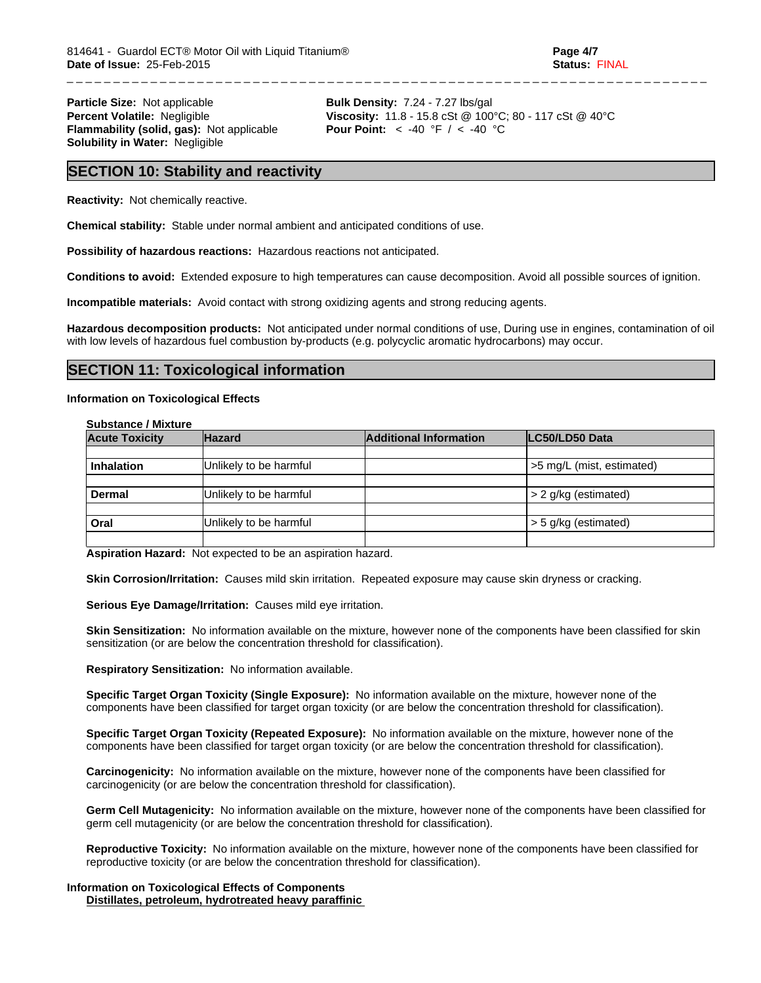**Particle Size:** Not applicable **Bulk Density:** 7.24 - 7.27 lbs/gal **Flammability (solid, gas):** Not applicable **Solubility in Water:** Negligible

**Percent Volatile:** Negligible **Viscosity:** 11.8 - 15.8 cSt @ 100°C; 80 - 117 cSt @ 40°C<br>**Flammability (solid, gas):** Not applicable **Pour Point:** < -40 °F / < -40 °C

\_ \_ \_ \_ \_ \_ \_ \_ \_ \_ \_ \_ \_ \_ \_ \_ \_ \_ \_ \_ \_ \_ \_ \_ \_ \_ \_ \_ \_ \_ \_ \_ \_ \_ \_ \_ \_ \_ \_ \_ \_ \_ \_ \_ \_ \_ \_ \_ \_ \_ \_ \_ \_ \_ \_ \_ \_ \_ \_ \_ \_ \_ \_ \_ \_ \_ \_ \_ \_

### **SECTION 10: Stability and reactivity**

**Reactivity:** Not chemically reactive.

**Chemical stability:** Stable under normal ambient and anticipated conditions of use.

**Possibility of hazardous reactions:** Hazardous reactions not anticipated.

**Conditions to avoid:** Extended exposure to high temperatures can cause decomposition. Avoid all possible sources of ignition.

**Incompatible materials:** Avoid contact with strong oxidizing agents and strong reducing agents.

**Hazardous decomposition products:** Not anticipated under normal conditions of use, During use in engines, contamination of oil with low levels of hazardous fuel combustion by-products (e.g. polycyclic aromatic hydrocarbons) may occur.

### **SECTION 11: Toxicological information**

### **Information on Toxicological Effects**

| <b>Substance / Mixture</b> |                        |                               |                           |  |  |
|----------------------------|------------------------|-------------------------------|---------------------------|--|--|
| <b>Acute Toxicity</b>      | <b>Hazard</b>          | <b>Additional Information</b> | LC50/LD50 Data            |  |  |
|                            |                        |                               |                           |  |  |
| Inhalation                 | Unlikely to be harmful |                               | >5 mg/L (mist, estimated) |  |  |
|                            |                        |                               |                           |  |  |
| <b>Dermal</b>              | Unlikely to be harmful |                               | > 2 g/kg (estimated)      |  |  |
|                            |                        |                               |                           |  |  |
| Oral                       | Unlikely to be harmful |                               | > 5 g/kg (estimated)      |  |  |
|                            |                        |                               |                           |  |  |

**Aspiration Hazard:** Not expected to be an aspiration hazard.

**Skin Corrosion/Irritation:** Causes mild skin irritation. Repeated exposure may cause skin dryness or cracking.

**Serious Eye Damage/Irritation:** Causes mild eye irritation.

**Skin Sensitization:** No information available on the mixture, however none of the components have been classified for skin sensitization (or are below the concentration threshold for classification).

**Respiratory Sensitization:** No information available.

**Specific Target Organ Toxicity (Single Exposure):** No information available on the mixture, however none of the components have been classified for target organ toxicity (or are below the concentration threshold for classification).

**Specific Target Organ Toxicity (Repeated Exposure):** No information available on the mixture, however none of the components have been classified for target organ toxicity (or are below the concentration threshold for classification).

**Carcinogenicity:** No information available on the mixture, however none of the components have been classified for carcinogenicity (or are below the concentration threshold for classification).

**Germ Cell Mutagenicity:** No information available on the mixture, however none of the components have been classified for germ cell mutagenicity (or are below the concentration threshold for classification).

**Reproductive Toxicity:** No information available on the mixture, however none of the components have been classified for reproductive toxicity (or are below the concentration threshold for classification).

**Information on Toxicological Effects of Components Distillates, petroleum, hydrotreated heavy paraffinic**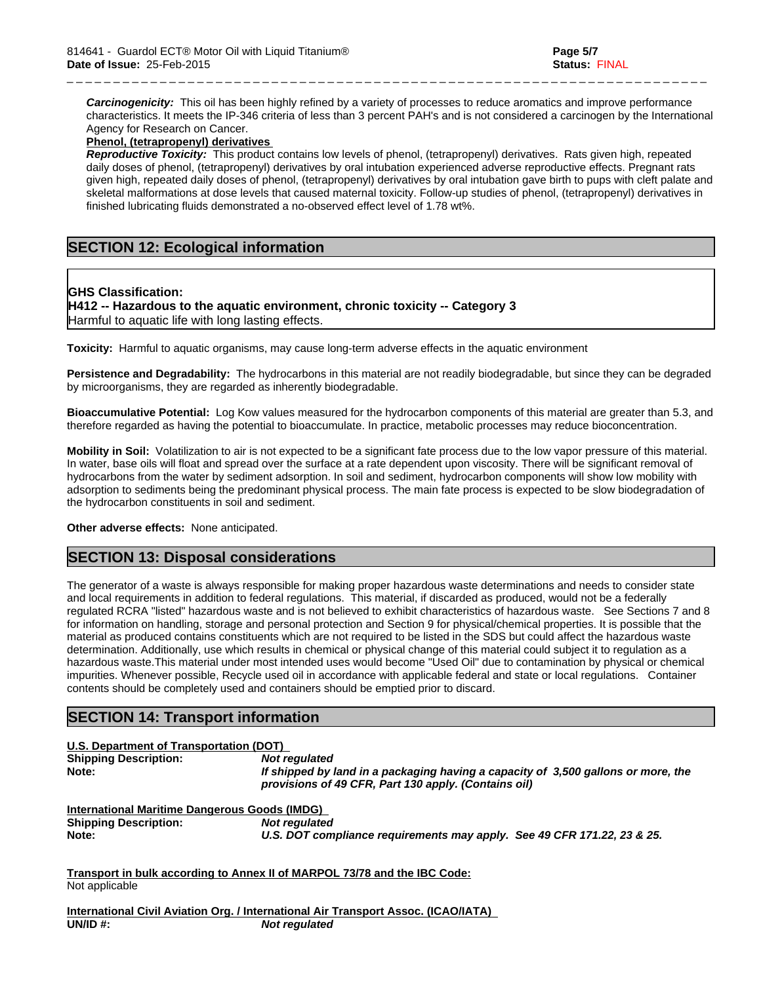*Carcinogenicity:* This oil has been highly refined by a variety of processes to reduce aromatics and improve performance characteristics. It meets the IP-346 criteria of less than 3 percent PAH's and is not considered a carcinogen by the International Agency for Research on Cancer.

\_ \_ \_ \_ \_ \_ \_ \_ \_ \_ \_ \_ \_ \_ \_ \_ \_ \_ \_ \_ \_ \_ \_ \_ \_ \_ \_ \_ \_ \_ \_ \_ \_ \_ \_ \_ \_ \_ \_ \_ \_ \_ \_ \_ \_ \_ \_ \_ \_ \_ \_ \_ \_ \_ \_ \_ \_ \_ \_ \_ \_ \_ \_ \_ \_ \_ \_ \_ \_

### **Phenol, (tetrapropenyl) derivatives**

*Reproductive Toxicity:* This product contains low levels of phenol, (tetrapropenyl) derivatives. Rats given high, repeated daily doses of phenol, (tetrapropenyl) derivatives by oral intubation experienced adverse reproductive effects. Pregnant rats given high, repeated daily doses of phenol, (tetrapropenyl) derivatives by oral intubation gave birth to pups with cleft palate and skeletal malformations at dose levels that caused maternal toxicity. Follow-up studies of phenol, (tetrapropenyl) derivatives in finished lubricating fluids demonstrated a no-observed effect level of 1.78 wt%.

# **SECTION 12: Ecological information**

### **GHS Classification:**

**H412 -- Hazardous to the aquatic environment, chronic toxicity -- Category 3** Harmful to aquatic life with long lasting effects.

**Toxicity:** Harmful to aquatic organisms, may cause long-term adverse effects in the aquatic environment

**Persistence and Degradability:** The hydrocarbons in this material are not readily biodegradable, but since they can be degraded by microorganisms, they are regarded as inherently biodegradable.

**Bioaccumulative Potential:** Log Kow values measured for the hydrocarbon components of this material are greater than 5.3, and therefore regarded as having the potential to bioaccumulate. In practice, metabolic processes may reduce bioconcentration.

**Mobility in Soil:** Volatilization to air is not expected to be a significant fate process due to the low vapor pressure of this material. In water, base oils will float and spread over the surface at a rate dependent upon viscosity. There will be significant removal of hydrocarbons from the water by sediment adsorption. In soil and sediment, hydrocarbon components will show low mobility with adsorption to sediments being the predominant physical process. The main fate process is expected to be slow biodegradation of the hydrocarbon constituents in soil and sediment.

**Other adverse effects:** None anticipated.

# **SECTION 13: Disposal considerations**

The generator of a waste is always responsible for making proper hazardous waste determinations and needs to consider state and local requirements in addition to federal regulations. This material, if discarded as produced, would not be a federally regulated RCRA "listed" hazardous waste and is not believed to exhibit characteristics of hazardous waste. See Sections 7 and 8 for information on handling, storage and personal protection and Section 9 for physical/chemical properties. It is possible that the material as produced contains constituents which are not required to be listed in the SDS but could affect the hazardous waste determination. Additionally, use which results in chemical or physical change of this material could subject it to regulation as a hazardous waste.This material under most intended uses would become "Used Oil" due to contamination by physical or chemical impurities. Whenever possible, Recycle used oil in accordance with applicable federal and state or local regulations. Container contents should be completely used and containers should be emptied prior to discard.

# **SECTION 14: Transport information**

| U.S. Department of Transportation (DOT)       |                                                                                                                                           |
|-----------------------------------------------|-------------------------------------------------------------------------------------------------------------------------------------------|
| <b>Shipping Description:</b>                  | Not regulated                                                                                                                             |
| Note:                                         | If shipped by land in a packaging having a capacity of 3,500 gallons or more, the<br>provisions of 49 CFR, Part 130 apply. (Contains oil) |
| International Maritime Dangerous Goods (IMDG) |                                                                                                                                           |
| <b>Shipping Description:</b>                  | Not regulated                                                                                                                             |
| Note:                                         | U.S. DOT compliance requirements may apply. See 49 CFR 171.22, 23 & 25.                                                                   |
|                                               | Transport in bulk according to Annex II of MARPOL 73/78 and the IBC Code:                                                                 |
| Not applicable                                |                                                                                                                                           |
|                                               |                                                                                                                                           |

**International Civil Aviation Org. / International Air Transport Assoc. (ICAO/IATA) UN/ID #:** *Not regulated*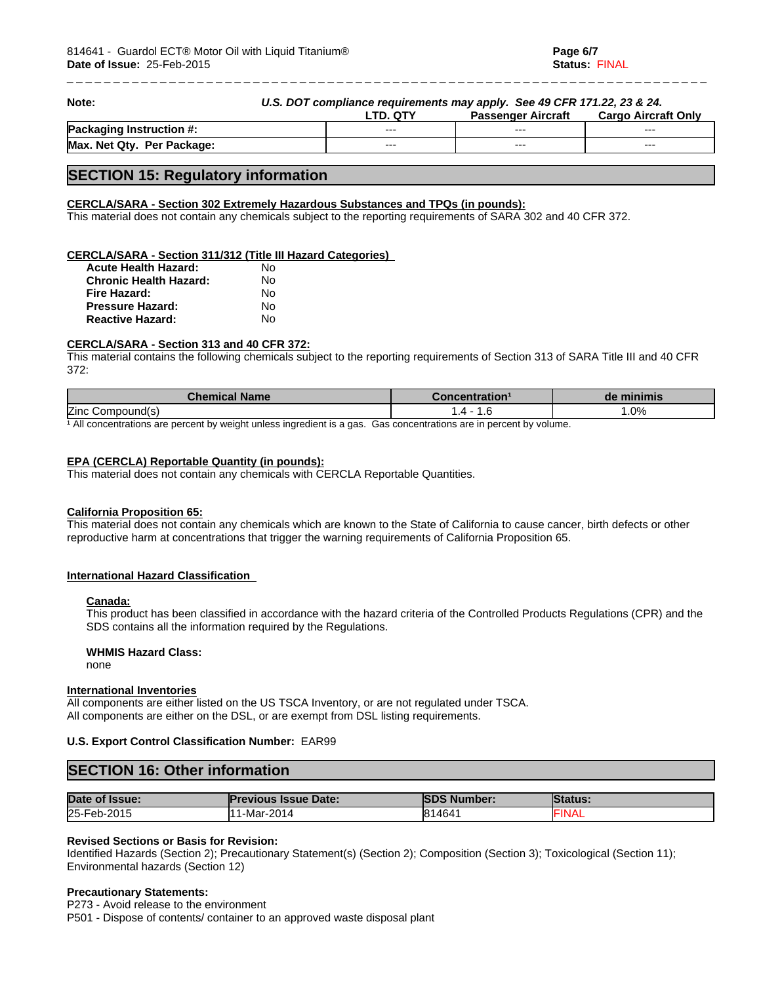\_ \_ \_ \_ \_ \_ \_ \_ \_ \_ \_ \_ \_ \_ \_ \_ \_ \_ \_

| Note:                           | U.S. DOT compliance requirements may apply. See 49 CFR 171.22, 23 & 24. |          |                           |                     |
|---------------------------------|-------------------------------------------------------------------------|----------|---------------------------|---------------------|
|                                 |                                                                         | LTD. QTY | <b>Passenger Aircraft</b> | Cargo Aircraft Only |
| <b>Packaging Instruction #:</b> |                                                                         | $--$     | $- - -$                   | $- - -$             |
| Max. Net Qty. Per Package:      |                                                                         | $--$     | $- - -$                   | $- - -$             |

### **SECTION 15: Regulatory information**

### **CERCLA/SARA - Section 302 Extremely Hazardous Substances and TPQs (in pounds):**

This material does not contain any chemicals subject to the reporting requirements of SARA 302 and 40 CFR 372.

### **CERCLA/SARA - Section 311/312 (Title III Hazard Categories)**

| <b>Acute Health Hazard:</b>   | N٥ |  |
|-------------------------------|----|--|
| <b>Chronic Health Hazard:</b> | N٥ |  |
| Fire Hazard:                  | No |  |
| <b>Pressure Hazard:</b>       | N٥ |  |
| <b>Reactive Hazard:</b>       | N٥ |  |

### **CERCLA/SARA - Section 313 and 40 CFR 372:**

This material contains the following chemicals subject to the reporting requirements of Section 313 of SARA Title III and 40 CFR 372:

| <b>Chemical Name</b>                                                 | concentration'                               | de minimis |
|----------------------------------------------------------------------|----------------------------------------------|------------|
| <b>Zinc</b><br>Compound(s)                                           |                                              | .0%        |
| All concentrations are percent by weight unless ingredient is a gas. | Gas concentrations are in percent by volume. |            |

### **EPA (CERCLA) Reportable Quantity (in pounds):**

This material does not contain any chemicals with CERCLA Reportable Quantities.

### **California Proposition 65:**

This material does not contain any chemicals which are known to the State of California to cause cancer, birth defects or other reproductive harm at concentrations that trigger the warning requirements of California Proposition 65.

#### **International Hazard Classification**

#### **Canada:**

This product has been classified in accordance with the hazard criteria of the Controlled Products Regulations (CPR) and the SDS contains all the information required by the Regulations.

### **WHMIS Hazard Class:**

none

#### **International Inventories**

All components are either listed on the US TSCA Inventory, or are not regulated under TSCA. All components are either on the DSL, or are exempt from DSL listing requirements.

### **U.S. Export Control Classification Number:** EAR99

| <b>SECTION 16: Other information</b> |                             |                     |                 |  |  |  |
|--------------------------------------|-----------------------------|---------------------|-----------------|--|--|--|
|                                      |                             |                     |                 |  |  |  |
| Date of Issue:                       | <b>Previous Issue Date:</b> | <b>ISDS Number:</b> | <b>IStatus:</b> |  |  |  |
| 25-Feb-2015                          | 111-Mar-2014                | 814641              | <b>FINAL</b>    |  |  |  |

### **Revised Sections or Basis for Revision:**

Identified Hazards (Section 2); Precautionary Statement(s) (Section 2); Composition (Section 3); Toxicological (Section 11); Environmental hazards (Section 12)

### **Precautionary Statements:**

P273 - Avoid release to the environment P501 - Dispose of contents/ container to an approved waste disposal plant